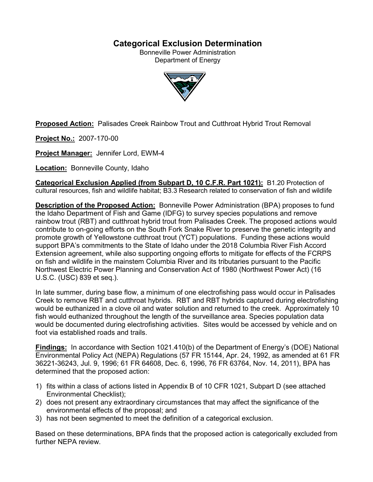# **Categorical Exclusion Determination**

Bonneville Power Administration Department of Energy



**Proposed Action:** Palisades Creek Rainbow Trout and Cutthroat Hybrid Trout Removal

**Project No.:** 2007-170-00

**Project Manager:** Jennifer Lord, EWM-4

**Location:** Bonneville County, Idaho

**Categorical Exclusion Applied (from Subpart D, 10 C.F.R. Part 1021):** B1.20 Protection of cultural resources, fish and wildlife habitat; B3.3 Research related to conservation of fish and wildlife

**Description of the Proposed Action:** Bonneville Power Administration (BPA) proposes to fund the Idaho Department of Fish and Game (IDFG) to survey species populations and remove rainbow trout (RBT) and cutthroat hybrid trout from Palisades Creek. The proposed actions would contribute to on-going efforts on the South Fork Snake River to preserve the genetic integrity and promote growth of Yellowstone cutthroat trout (YCT) populations. Funding these actions would support BPA's commitments to the State of Idaho under the 2018 Columbia River Fish Accord Extension agreement, while also supporting ongoing efforts to mitigate for effects of the FCRPS on fish and wildlife in the mainstem Columbia River and its tributaries pursuant to the Pacific Northwest Electric Power Planning and Conservation Act of 1980 (Northwest Power Act) (16 U.S.C. (USC) 839 et seq.).

In late summer, during base flow, a minimum of one electrofishing pass would occur in Palisades Creek to remove RBT and cutthroat hybrids. RBT and RBT hybrids captured during electrofishing would be euthanized in a clove oil and water solution and returned to the creek. Approximately 10 fish would euthanized throughout the length of the surveillance area. Species population data would be documented during electrofishing activities. Sites would be accessed by vehicle and on foot via established roads and trails.

**Findings:** In accordance with Section 1021.410(b) of the Department of Energy's (DOE) National Environmental Policy Act (NEPA) Regulations (57 FR 15144, Apr. 24, 1992, as amended at 61 FR 36221-36243, Jul. 9, 1996; 61 FR 64608, Dec. 6, 1996, 76 FR 63764, Nov. 14, 2011), BPA has determined that the proposed action:

- 1) fits within a class of actions listed in Appendix B of 10 CFR 1021, Subpart D (see attached Environmental Checklist);
- 2) does not present any extraordinary circumstances that may affect the significance of the environmental effects of the proposal; and
- 3) has not been segmented to meet the definition of a categorical exclusion.

Based on these determinations, BPA finds that the proposed action is categorically excluded from further NEPA review.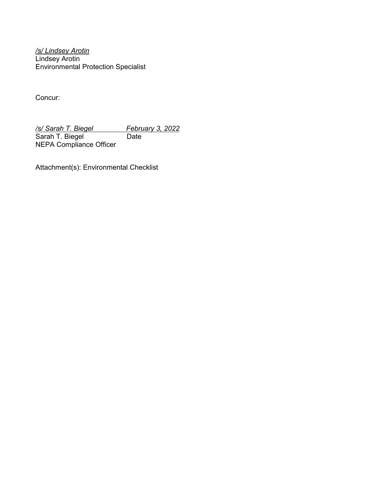*/s/ Lindsey Arotin* Lindsey Arotin Environmental Protection Specialist

Concur:

*/s/ Sarah T. Biegel February 3, 2022* Sarah T. Biegel Date NEPA Compliance Officer

Attachment(s): Environmental Checklist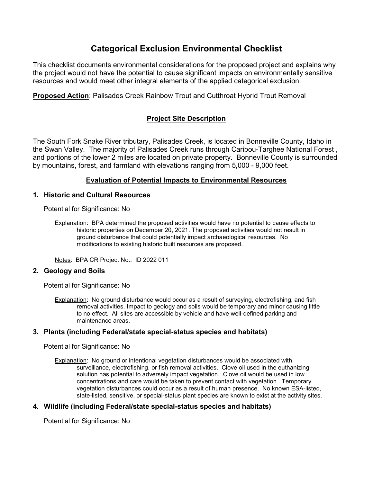# **Categorical Exclusion Environmental Checklist**

This checklist documents environmental considerations for the proposed project and explains why the project would not have the potential to cause significant impacts on environmentally sensitive resources and would meet other integral elements of the applied categorical exclusion.

**Proposed Action**: Palisades Creek Rainbow Trout and Cutthroat Hybrid Trout Removal

## **Project Site Description**

The South Fork Snake River tributary, Palisades Creek, is located in Bonneville County, Idaho in the Swan Valley. The majority of Palisades Creek runs through Caribou-Targhee National Forest , and portions of the lower 2 miles are located on private property. Bonneville County is surrounded by mountains, forest, and farmland with elevations ranging from 5,000 - 9,000 feet.

## **Evaluation of Potential Impacts to Environmental Resources**

## **1. Historic and Cultural Resources**

Potential for Significance: No

Notes: BPA CR Project No.: ID 2022 011

## **2. Geology and Soils**

Potential for Significance: No

Explanation: No ground disturbance would occur as a result of surveying, electrofishing, and fish removal activities. Impact to geology and soils would be temporary and minor causing little to no effect. All sites are accessible by vehicle and have well-defined parking and maintenance areas.

## **3. Plants (including Federal/state special-status species and habitats)**

Potential for Significance: No

Explanation: No ground or intentional vegetation disturbances would be associated with surveillance, electrofishing, or fish removal activities. Clove oil used in the euthanizing solution has potential to adversely impact vegetation. Clove oil would be used in low concentrations and care would be taken to prevent contact with vegetation. Temporary vegetation disturbances could occur as a result of human presence. No known ESA-listed, state-listed, sensitive, or special-status plant species are known to exist at the activity sites.

## **4. Wildlife (including Federal/state special-status species and habitats)**

Potential for Significance: No

Explanation: BPA determined the proposed activities would have no potential to cause effects to historic properties on December 20, 2021. The proposed activities would not result in ground disturbance that could potentially impact archaeological resources. No modifications to existing historic built resources are proposed.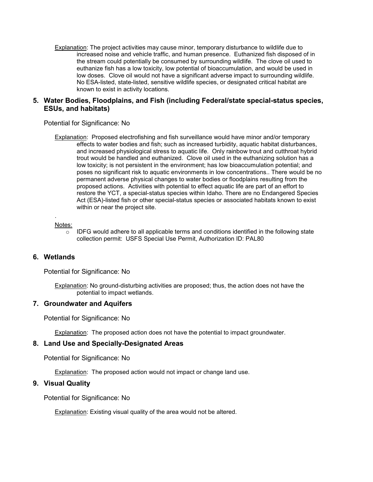Explanation: The project activities may cause minor, temporary disturbance to wildlife due to increased noise and vehicle traffic, and human presence. Euthanized fish disposed of in the stream could potentially be consumed by surrounding wildlife. The clove oil used to euthanize fish has a low toxicity, low potential of bioaccumulation, and would be used in low doses. Clove oil would not have a significant adverse impact to surrounding wildlife. No ESA-listed, state-listed, sensitive wildlife species, or designated critical habitat are known to exist in activity locations.

## **5. Water Bodies, Floodplains, and Fish (including Federal/state special-status species, ESUs, and habitats)**

Potential for Significance: No

Explanation: Proposed electrofishing and fish surveillance would have minor and/or temporary effects to water bodies and fish; such as increased turbidity, aquatic habitat disturbances, and increased physiological stress to aquatic life. Only rainbow trout and cutthroat hybrid trout would be handled and euthanized. Clove oil used in the euthanizing solution has a low toxicity; is not persistent in the environment; has low bioaccumulation potential; and poses no significant risk to aquatic environments in low concentrations.. There would be no permanent adverse physical changes to water bodies or floodplains resulting from the proposed actions. Activities with potential to effect aquatic life are part of an effort to restore the YCT, a special-status species within Idaho. There are no Endangered Species Act (ESA)-listed fish or other special-status species or associated habitats known to exist within or near the project site.

#### Notes:

.

 $\circ$  IDFG would adhere to all applicable terms and conditions identified in the following state collection permit: USFS Special Use Permit, Authorization ID: PAL80

#### **6. Wetlands**

Potential for Significance: No

Explanation: No ground-disturbing activities are proposed; thus, the action does not have the potential to impact wetlands.

#### **7. Groundwater and Aquifers**

Potential for Significance: No

Explanation: The proposed action does not have the potential to impact groundwater.

#### **8. Land Use and Specially-Designated Areas**

Potential for Significance: No

Explanation: The proposed action would not impact or change land use.

#### **9. Visual Quality**

Potential for Significance: No

**Explanation: Existing visual quality of the area would not be altered.**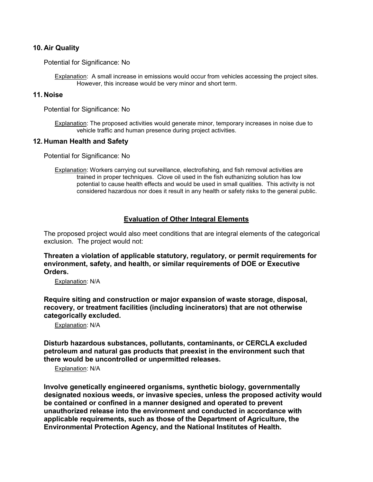### **10. Air Quality**

Potential for Significance: No

Explanation: A small increase in emissions would occur from vehicles accessing the project sites. However, this increase would be very minor and short term.

## **11. Noise**

Potential for Significance: No

Explanation: The proposed activities would generate minor, temporary increases in noise due to vehicle traffic and human presence during project activities.

#### **12. Human Health and Safety**

Potential for Significance: No

Explanation: Workers carrying out surveillance, electrofishing, and fish removal activities are trained in proper techniques. Clove oil used in the fish euthanizing solution has low potential to cause health effects and would be used in small qualities. This activity is not considered hazardous nor does it result in any health or safety risks to the general public.

## **Evaluation of Other Integral Elements**

The proposed project would also meet conditions that are integral elements of the categorical exclusion. The project would not:

**Threaten a violation of applicable statutory, regulatory, or permit requirements for environment, safety, and health, or similar requirements of DOE or Executive Orders.**

Explanation: N/A

**Require siting and construction or major expansion of waste storage, disposal, recovery, or treatment facilities (including incinerators) that are not otherwise categorically excluded.**

Explanation: N/A

**Disturb hazardous substances, pollutants, contaminants, or CERCLA excluded petroleum and natural gas products that preexist in the environment such that there would be uncontrolled or unpermitted releases.**

Explanation: N/A

**Involve genetically engineered organisms, synthetic biology, governmentally designated noxious weeds, or invasive species, unless the proposed activity would be contained or confined in a manner designed and operated to prevent unauthorized release into the environment and conducted in accordance with applicable requirements, such as those of the Department of Agriculture, the Environmental Protection Agency, and the National Institutes of Health.**